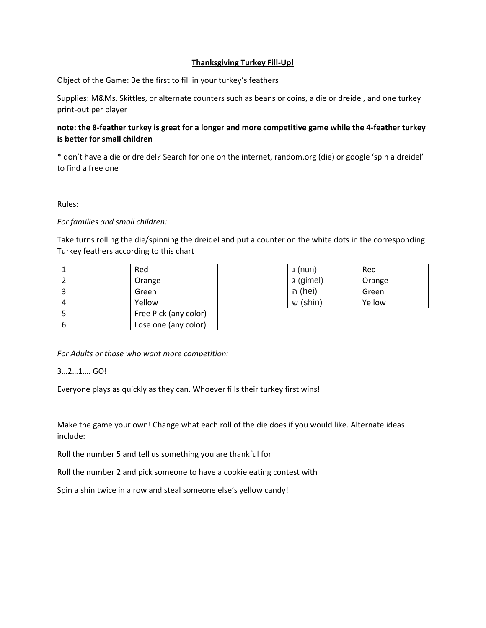## **Thanksgiving Turkey Fill-Up!**

Object of the Game: Be the first to fill in your turkey's feathers

Supplies: M&Ms, Skittles, or alternate counters such as beans or coins, a die or dreidel, and one turkey print-out per player

## **note: the 8-feather turkey is great for a longer and more competitive game while the 4-feather turkey is better for small children**

\* don't have a die or dreidel? Search for one on the internet, random.org (die) or google 'spin a dreidel' to find a free one

Rules:

## *For families and small children:*

Take turns rolling the die/spinning the dreidel and put a counter on the white dots in the corresponding Turkey feathers according to this chart

|   | Red                   | (nun) נ   | Red    |
|---|-----------------------|-----------|--------|
|   | Orange                | (gimel) ג | Orange |
|   | Green                 | (hei) ה   | Green  |
| 4 | Yellow                | (shin) ש  | Yellow |
|   | Free Pick (any color) |           |        |
| 6 | Lose one (any color)  |           |        |

| (nun) נ   | Red    |  |
|-----------|--------|--|
| (gimel) ג | Orange |  |
| (hei) ה   | Green  |  |
| (shin) ש  | Yellow |  |

*For Adults or those who want more competition:*

3…2…1…. GO!

Everyone plays as quickly as they can. Whoever fills their turkey first wins!

Make the game your own! Change what each roll of the die does if you would like. Alternate ideas include:

Roll the number 5 and tell us something you are thankful for

Roll the number 2 and pick someone to have a cookie eating contest with

Spin a shin twice in a row and steal someone else's yellow candy!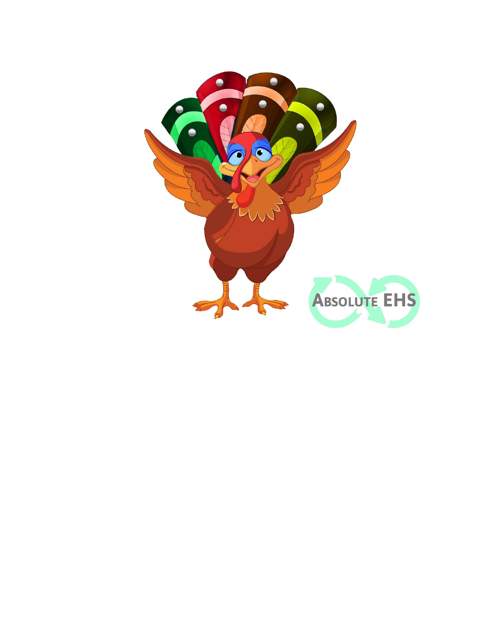